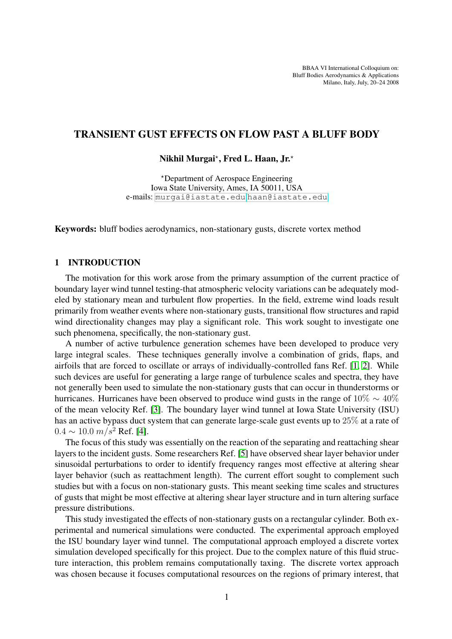BBAA VI International Colloquium on: Bluff Bodies Aerodynamics & Applications Milano, Italy, July, 20–24 2008

# TRANSIENT GUST EFFECTS ON FLOW PAST A BLUFF BODY

Nikhil Murgai\*, Fred L. Haan, Jr.\*

?Department of Aerospace Engineering Iowa State University, Ames, IA 50011, USA e-mails: <murgai@iastate.edu>,<haan@iastate.edu>

Keywords: bluff bodies aerodynamics, non-stationary gusts, discrete vortex method

## 1 INTRODUCTION

The motivation for this work arose from the primary assumption of the current practice of boundary layer wind tunnel testing-that atmospheric velocity variations can be adequately modeled by stationary mean and turbulent flow properties. In the field, extreme wind loads result primarily from weather events where non-stationary gusts, transitional flow structures and rapid wind directionality changes may play a significant role. This work sought to investigate one such phenomena, specifically, the non-stationary gust.

A number of active turbulence generation schemes have been developed to produce very large integral scales. These techniques generally involve a combination of grids, flaps, and airfoils that are forced to oscillate or arrays of individually-controlled fans Ref. [\[1,](#page-2-0) [2\]](#page-2-1). While such devices are useful for generating a large range of turbulence scales and spectra, they have not generally been used to simulate the non-stationary gusts that can occur in thunderstorms or hurricanes. Hurricanes have been observed to produce wind gusts in the range of  $10\% \sim 40\%$ of the mean velocity Ref. [\[3\]](#page-3-0). The boundary layer wind tunnel at Iowa State University (ISU) has an active bypass duct system that can generate large-scale gust events up to 25% at a rate of  $0.4 \sim 10.0 \ m/s^2$  Ref. [\[4\]](#page-3-1).

The focus of this study was essentially on the reaction of the separating and reattaching shear layers to the incident gusts. Some researchers Ref. [\[5\]](#page-3-2) have observed shear layer behavior under sinusoidal perturbations to order to identify frequency ranges most effective at altering shear layer behavior (such as reattachment length). The current effort sought to complement such studies but with a focus on non-stationary gusts. This meant seeking time scales and structures of gusts that might be most effective at altering shear layer structure and in turn altering surface pressure distributions.

This study investigated the effects of non-stationary gusts on a rectangular cylinder. Both experimental and numerical simulations were conducted. The experimental approach employed the ISU boundary layer wind tunnel. The computational approach employed a discrete vortex simulation developed specifically for this project. Due to the complex nature of this fluid structure interaction, this problem remains computationally taxing. The discrete vortex approach was chosen because it focuses computational resources on the regions of primary interest, that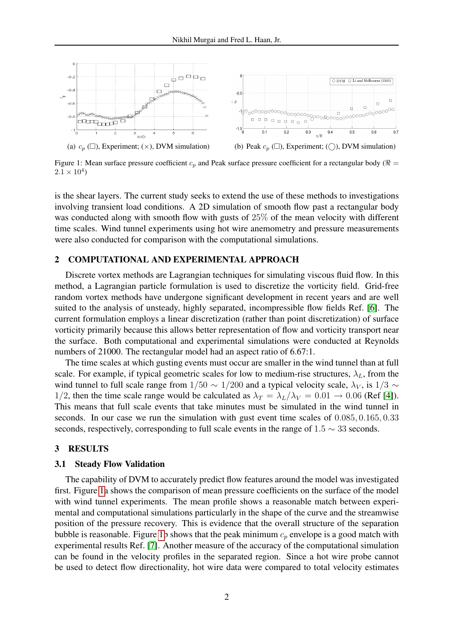

<span id="page-1-0"></span>Figure 1: Mean surface pressure coefficient  $c_p$  and Peak surface pressure coefficient for a rectangular body ( $\Re$  =  $2.1 \times 10^4$ )

is the shear layers. The current study seeks to extend the use of these methods to investigations involving transient load conditions. A 2D simulation of smooth flow past a rectangular body was conducted along with smooth flow with gusts of 25% of the mean velocity with different time scales. Wind tunnel experiments using hot wire anemometry and pressure measurements were also conducted for comparison with the computational simulations.

#### 2 COMPUTATIONAL AND EXPERIMENTAL APPROACH

Discrete vortex methods are Lagrangian techniques for simulating viscous fluid flow. In this method, a Lagrangian particle formulation is used to discretize the vorticity field. Grid-free random vortex methods have undergone significant development in recent years and are well suited to the analysis of unsteady, highly separated, incompressible flow fields Ref. [\[6\]](#page-3-3). The current formulation employs a linear discretization (rather than point discretization) of surface vorticity primarily because this allows better representation of flow and vorticity transport near the surface. Both computational and experimental simulations were conducted at Reynolds numbers of 21000. The rectangular model had an aspect ratio of 6.67:1.

The time scales at which gusting events must occur are smaller in the wind tunnel than at full scale. For example, if typical geometric scales for low to medium-rise structures,  $\lambda_L$ , from the wind tunnel to full scale range from  $1/50 \sim 1/200$  and a typical velocity scale,  $\lambda_V$ , is  $1/3 \sim$ 1/2, then the time scale range would be calculated as  $\lambda_T = \lambda_L/\lambda_V = 0.01 \rightarrow 0.06$  (Ref [\[4\]](#page-3-1)). This means that full scale events that take minutes must be simulated in the wind tunnel in seconds. In our case we run the simulation with gust event time scales of 0.085, 0.165, 0.33 seconds, respectively, corresponding to full scale events in the range of  $1.5 \sim 33$  seconds.

### 3 RESULTS

#### 3.1 Steady Flow Validation

The capability of DVM to accurately predict flow features around the model was investigated first. Figure [1a](#page-1-0) shows the comparison of mean pressure coefficients on the surface of the model with wind tunnel experiments. The mean profile shows a reasonable match between experimental and computational simulations particularly in the shape of the curve and the streamwise position of the pressure recovery. This is evidence that the overall structure of the separation bubble is reasonable. Figure [1b](#page-1-0) shows that the peak minimum  $c_p$  envelope is a good match with experimental results Ref. [\[7\]](#page-3-4). Another measure of the accuracy of the computational simulation can be found in the velocity profiles in the separated region. Since a hot wire probe cannot be used to detect flow directionality, hot wire data were compared to total velocity estimates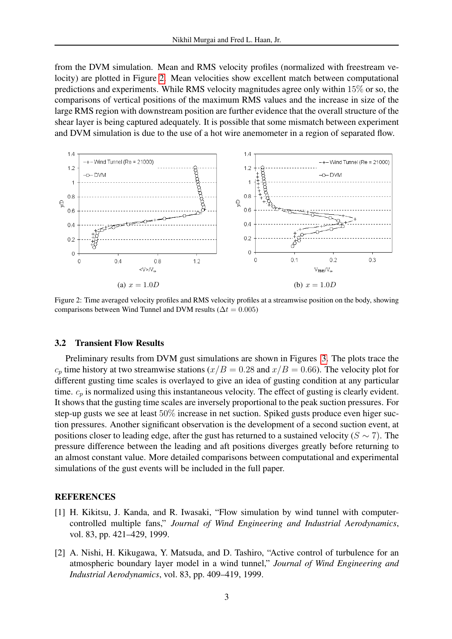from the DVM simulation. Mean and RMS velocity profiles (normalized with freestream velocity) are plotted in Figure [2.](#page-2-2) Mean velocities show excellent match between computational predictions and experiments. While RMS velocity magnitudes agree only within 15% or so, the comparisons of vertical positions of the maximum RMS values and the increase in size of the large RMS region with downstream position are further evidence that the overall structure of the shear layer is being captured adequately. It is possible that some mismatch between experiment and DVM simulation is due to the use of a hot wire anemometer in a region of separated flow.



<span id="page-2-2"></span>Figure 2: Time averaged velocity profiles and RMS velocity profiles at a streamwise position on the body, showing comparisons between Wind Tunnel and DVM results ( $\Delta t = 0.005$ )

### 3.2 Transient Flow Results

Preliminary results from DVM gust simulations are shown in Figures [3.](#page-3-5) The plots trace the  $c_p$  time history at two streamwise stations ( $x/B = 0.28$  and  $x/B = 0.66$ ). The velocity plot for different gusting time scales is overlayed to give an idea of gusting condition at any particular time.  $c_p$  is normalized using this instantaneous velocity. The effect of gusting is clearly evident. It shows that the gusting time scales are inversely proportional to the peak suction pressures. For step-up gusts we see at least 50% increase in net suction. Spiked gusts produce even higer suction pressures. Another significant observation is the development of a second suction event, at positions closer to leading edge, after the gust has returned to a sustained velocity ( $S \sim 7$ ). The pressure difference between the leading and aft positions diverges greatly before returning to an almost constant value. More detailed comparisons between computational and experimental simulations of the gust events will be included in the full paper.

### <span id="page-2-0"></span>**REFERENCES**

- [1] H. Kikitsu, J. Kanda, and R. Iwasaki, "Flow simulation by wind tunnel with computercontrolled multiple fans," *Journal of Wind Engineering and Industrial Aerodynamics*, vol. 83, pp. 421–429, 1999.
- <span id="page-2-1"></span>[2] A. Nishi, H. Kikugawa, Y. Matsuda, and D. Tashiro, "Active control of turbulence for an atmospheric boundary layer model in a wind tunnel," *Journal of Wind Engineering and Industrial Aerodynamics*, vol. 83, pp. 409–419, 1999.